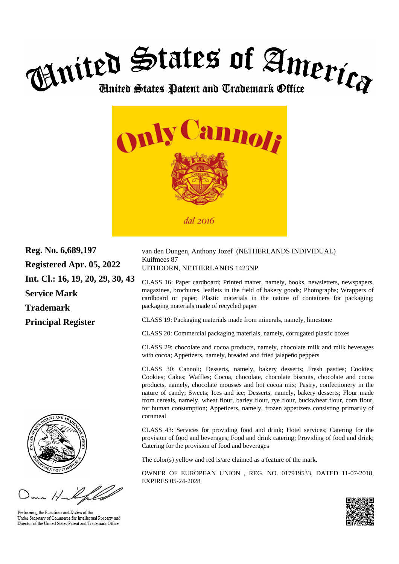



**Reg. No. 6,689,197 Registered Apr. 05, 2022 Int. Cl.: 16, 19, 20, 29, 30, 43 Service Mark Trademark Principal Register**



Performing the Functions and Duties of the Under Secretary of Commerce for Intellectual Property and Director of the United States Patent and Trademark Office

van den Dungen, Anthony Jozef (NETHERLANDS INDIVIDUAL) Kuifmees 87 UITHOORN, NETHERLANDS 1423NP

CLASS 16: Paper cardboard; Printed matter, namely, books, newsletters, newspapers, magazines, brochures, leaflets in the field of bakery goods; Photographs; Wrappers of cardboard or paper; Plastic materials in the nature of containers for packaging; packaging materials made of recycled paper

CLASS 19: Packaging materials made from minerals, namely, limestone

CLASS 20: Commercial packaging materials, namely, corrugated plastic boxes

CLASS 29: chocolate and cocoa products, namely, chocolate milk and milk beverages with cocoa; Appetizers, namely, breaded and fried jalapeño peppers

CLASS 30: Cannoli; Desserts, namely, bakery desserts; Fresh pasties; Cookies; Cookies; Cakes; Waffles; Cocoa, chocolate, chocolate biscuits, chocolate and cocoa products, namely, chocolate mousses and hot cocoa mix; Pastry, confectionery in the nature of candy; Sweets; Ices and ice; Desserts, namely, bakery desserts; Flour made from cereals, namely, wheat flour, barley flour, rye flour, buckwheat flour, corn flour, for human consumption; Appetizers, namely, frozen appetizers consisting primarily of cornmeal

CLASS 43: Services for providing food and drink; Hotel services; Catering for the provision of food and beverages; Food and drink catering; Providing of food and drink; Catering for the provision of food and beverages

The color(s) yellow and red is/are claimed as a feature of the mark.

OWNER OF EUROPEAN UNION , REG. NO. 017919533, DATED 11-07-2018, EXPIRES 05-24-2028

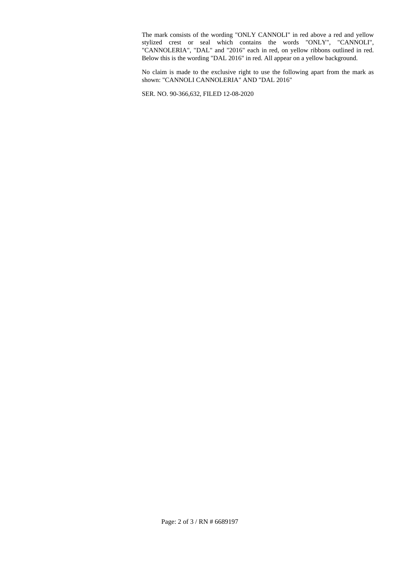The mark consists of the wording "ONLY CANNOLI" in red above a red and yellow stylized crest or seal which contains the words "ONLY", "CANNOLI", "CANNOLERIA", "DAL" and "2016" each in red, on yellow ribbons outlined in red. Below this is the wording "DAL 2016" in red. All appear on a yellow background.

No claim is made to the exclusive right to use the following apart from the mark as shown: "CANNOLI CANNOLERIA" AND "DAL 2016"

SER. NO. 90-366,632, FILED 12-08-2020